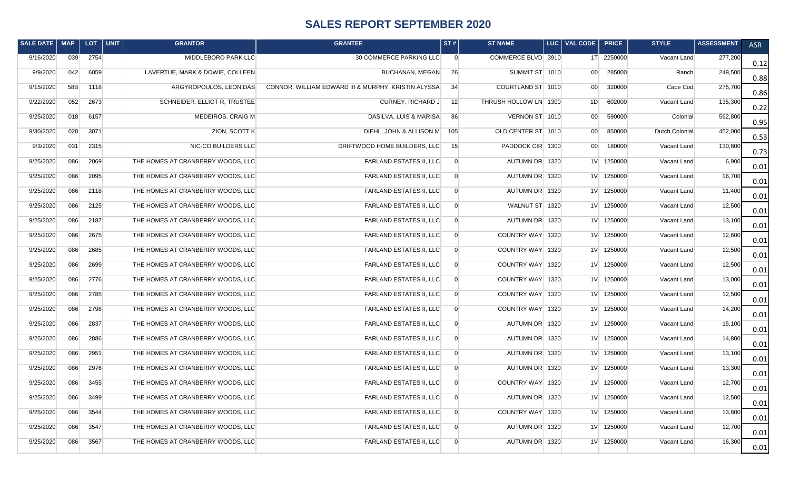## **SALES REPORT SEPTEMBER 2020**

| SALE DATE   MAP |     | LOT. | $ $ UNIT | <b>GRANTOR</b>                    | <b>GRANTEE</b>                                      | ST#            | <b>ST NAME</b>        | LUC   VAL CODE  | <b>PRICE</b> | <b>STYLE</b>   | <b>ASSESSMENT</b> | <b>ASR</b> |
|-----------------|-----|------|----------|-----------------------------------|-----------------------------------------------------|----------------|-----------------------|-----------------|--------------|----------------|-------------------|------------|
| 9/16/2020       | 039 | 2754 |          | MIDDLEBORO PARK LLC               | 30 COMMERCE PARKING LLC                             | $\overline{0}$ | COMMERCE BLVD 3910    |                 | 1T 2250000   | Vacant Land    | 277,200           | 0.12       |
| 9/9/2020        | 042 | 6059 |          | LAVERTUE, MARK & DOWIE, COLLEEN   | BUCHANAN, MEGAN                                     | 26             | SUMMIT ST 1010        | 00 <sup>1</sup> | 285000       | Ranch          | 249,500           | 0.88       |
| 9/15/2020       | 58B | 1118 |          | ARGYROPOULOS, LEONIDAS            | CONNOR, WILLIAM EDWARD III & MURPHY, KRISTIN ALYSSA | 34             | COURTLAND ST 1010     | 00 <sub>1</sub> | 320000       | Cape Cod       | 275,700           | 0.86       |
| 9/22/2020       | 052 | 2673 |          | SCHNEIDER, ELLIOT R, TRUSTEE      | CURNEY, RICHARD J                                   | 12             | THRUSH HOLLOW LN 1300 | 1D              | 602000       | Vacant Land    | 135,300           | 0.22       |
| 9/25/2020       | 018 | 6157 |          | MEDEIROS, CRAIG M                 | DASILVA, LUIS & MARISA                              | 86             | VERNON ST 1010        | 00 <sub>1</sub> | 590000       | Colonial       | 562,800           | 0.95       |
| 9/30/2020       | 028 | 3071 |          | ZION, SCOTT K                     | DIEHL, JOHN & ALLISON M                             | 105            | OLD CENTER ST 1010    | 00 <sup>1</sup> | 850000       | Dutch Colonial | 452,000           | 0.53       |
| 9/3/2020        | 031 | 2315 |          | NIC-CO BUILDERS LLC               | DRIFTWOOD HOME BUILDERS, LLC                        | 15             | PADDOCK CIR 1300      | 00 <sup>1</sup> | 180000       | Vacant Land    | 130,800           | 0.73       |
| 9/25/2020       | 086 | 2069 |          | THE HOMES AT CRANBERRY WOODS, LLC | FARLAND ESTATES II, LLC                             | $\overline{0}$ | AUTUMN DR 1320        |                 | 1V 1250000   | Vacant Land    | 6,900             | 0.01       |
| 9/25/2020       | 086 | 2095 |          | THE HOMES AT CRANBERRY WOODS, LLC | <b>FARLAND ESTATES II, LLC</b>                      | $\overline{0}$ | AUTUMN DR 1320        |                 | 1V 1250000   | Vacant Land    | 16,700            | 0.01       |
| 9/25/2020       | 086 | 2118 |          | THE HOMES AT CRANBERRY WOODS, LLC | FARLAND ESTATES II, LLC                             | $\overline{0}$ | AUTUMN DR 1320        |                 | 1V 1250000   | Vacant Land    | 11,400            | 0.01       |
| 9/25/2020       | 086 | 2125 |          | THE HOMES AT CRANBERRY WOODS, LLC | <b>FARLAND ESTATES II, LLC</b>                      | $\overline{0}$ | WALNUT ST 1320        |                 | 1V 1250000   | Vacant Land    | 12,500            | 0.01       |
| 9/25/2020       | 086 | 2187 |          | THE HOMES AT CRANBERRY WOODS, LLC | <b>FARLAND ESTATES II, LLC</b>                      | $\overline{0}$ | AUTUMN DR 1320        |                 | 1V 1250000   | Vacant Land    | 13,100            | 0.01       |
| 9/25/2020       | 086 | 2675 |          | THE HOMES AT CRANBERRY WOODS, LLC | <b>FARLAND ESTATES II, LLC</b>                      | $\overline{0}$ | COUNTRY WAY 1320      |                 | 1V 1250000   | Vacant Land    | 12,600            | 0.01       |
| 9/25/2020       | 086 | 2685 |          | THE HOMES AT CRANBERRY WOODS, LLC | <b>FARLAND ESTATES II, LLC</b>                      | $\overline{0}$ | COUNTRY WAY 1320      |                 | 1V 1250000   | Vacant Land    | 12,500            | 0.01       |
| 9/25/2020       | 086 | 2699 |          | THE HOMES AT CRANBERRY WOODS, LLC | <b>FARLAND ESTATES II, LLC</b>                      | $\overline{0}$ | COUNTRY WAY 1320      |                 | 1V 1250000   | Vacant Land    | 12,500            | 0.01       |
| 9/25/2020       | 086 | 2776 |          | THE HOMES AT CRANBERRY WOODS, LLC | <b>FARLAND ESTATES II, LLC</b>                      | $\overline{0}$ | COUNTRY WAY 1320      |                 | 1V 1250000   | Vacant Land    | 13,000            | 0.01       |
| 9/25/2020       | 086 | 2785 |          | THE HOMES AT CRANBERRY WOODS, LLC | FARLAND ESTATES II, LLC                             | $\overline{0}$ | COUNTRY WAY 1320      |                 | 1V 1250000   | Vacant Land    | 12,500            | 0.01       |
| 9/25/2020       | 086 | 2798 |          | THE HOMES AT CRANBERRY WOODS, LLC | FARLAND ESTATES II, LLC                             | $\overline{0}$ | COUNTRY WAY 1320      |                 | 1V 1250000   | Vacant Land    | 14,200            | 0.01       |
| 9/25/2020       | 086 | 2837 |          | THE HOMES AT CRANBERRY WOODS, LLC | <b>FARLAND ESTATES II, LLC</b>                      | $\overline{0}$ | AUTUMN DR 1320        |                 | 1V 1250000   | Vacant Land    | 15,100            | 0.01       |
| 9/25/2020       | 086 | 2886 |          | THE HOMES AT CRANBERRY WOODS, LLC | <b>FARLAND ESTATES II, LLC</b>                      | $\overline{0}$ | AUTUMN DR 1320        |                 | 1V 1250000   | Vacant Land    | 14,800            | 0.01       |
| 9/25/2020       | 086 | 2951 |          | THE HOMES AT CRANBERRY WOODS, LLC | <b>FARLAND ESTATES II, LLC</b>                      | $\overline{0}$ | AUTUMN DR 1320        |                 | 1V 1250000   | Vacant Land    | 13,100            | 0.01       |
| 9/25/2020       | 086 | 2976 |          | THE HOMES AT CRANBERRY WOODS, LLC | <b>FARLAND ESTATES II, LLC</b>                      | $\overline{0}$ | AUTUMN DR 1320        |                 | 1V 1250000   | Vacant Land    | 13,300            | 0.01       |
| 9/25/2020       | 086 | 3455 |          | THE HOMES AT CRANBERRY WOODS, LLC | <b>FARLAND ESTATES II, LLC</b>                      | $\overline{0}$ | COUNTRY WAY 1320      |                 | 1V 1250000   | Vacant Land    | 12,700            | 0.01       |
| 9/25/2020       | 086 | 3499 |          | THE HOMES AT CRANBERRY WOODS, LLC | <b>FARLAND ESTATES II, LLC</b>                      | $\overline{0}$ | AUTUMN DR 1320        |                 | 1V 1250000   | Vacant Land    | 12,500            | 0.01       |
| 9/25/2020       | 086 | 3544 |          | THE HOMES AT CRANBERRY WOODS, LLC | <b>FARLAND ESTATES II, LLC</b>                      | $\overline{0}$ | COUNTRY WAY 1320      |                 | 1V 1250000   | Vacant Land    | 13,800            | 0.01       |
| 9/25/2020       | 086 | 3547 |          | THE HOMES AT CRANBERRY WOODS, LLC | <b>FARLAND ESTATES II. LLC</b>                      | $\overline{0}$ | AUTUMN DR 1320        |                 | 1V 1250000   | Vacant Land    | 12,700            | 0.01       |
| 9/25/2020       | 086 | 3567 |          | THE HOMES AT CRANBERRY WOODS, LLC | <b>FARLAND ESTATES II, LLC</b>                      | $\overline{0}$ | AUTUMN DR 1320        |                 | 1V 1250000   | Vacant Land    | 16,300            | 0.01       |
|                 |     |      |          |                                   |                                                     |                |                       |                 |              |                |                   |            |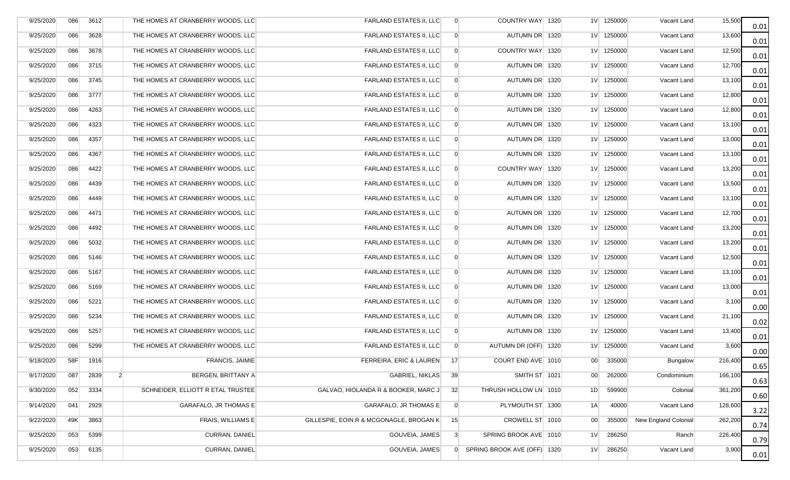| 9/25/2020 | 086 | 3612                   | THE HOMES AT CRANBERRY WOODS, LLC | <b>FARLAND ESTATES II, LLC</b>          | $\overline{0}$ | COUNTRY WAY 1320            |                 | 1V 1250000   | Vacant Land                 | 15,500  | 0.01 |
|-----------|-----|------------------------|-----------------------------------|-----------------------------------------|----------------|-----------------------------|-----------------|--------------|-----------------------------|---------|------|
| 9/25/2020 | 086 | 3628                   | THE HOMES AT CRANBERRY WOODS, LLC | <b>FARLAND ESTATES II, LLC</b>          | $\overline{0}$ | AUTUMN DR 1320              |                 | 1V 1250000   | Vacant Land                 | 13,600  | 0.01 |
| 9/25/2020 | 086 | 3678                   | THE HOMES AT CRANBERRY WOODS, LLC | FARLAND ESTATES II, LLC                 | $\overline{0}$ | COUNTRY WAY 1320            |                 | 1V 1250000   | Vacant Land                 | 12,500  | 0.01 |
| 9/25/2020 | 086 | 3715                   | THE HOMES AT CRANBERRY WOODS, LLC | <b>FARLAND ESTATES II, LLC</b>          | $\overline{0}$ | AUTUMN DR 1320              |                 | 1V 1250000   | Vacant Land                 | 12,700  | 0.01 |
| 9/25/2020 | 086 | 3745                   | THE HOMES AT CRANBERRY WOODS, LLC | FARLAND ESTATES II, LLC                 | $\overline{0}$ | AUTUMN DR 1320              |                 | 1V 1250000   | Vacant Land                 | 13,100  | 0.01 |
| 9/25/2020 | 086 | 3777                   | THE HOMES AT CRANBERRY WOODS, LLC | <b>FARLAND ESTATES II, LLC</b>          | $\overline{0}$ | AUTUMN DR 1320              |                 | 1V 1250000   | Vacant Land                 | 12,800  | 0.01 |
| 9/25/2020 | 086 | 4263                   | THE HOMES AT CRANBERRY WOODS, LLC | <b>FARLAND ESTATES II, LLC</b>          | $\overline{0}$ | AUTUMN DR 1320              |                 | $1V$ 1250000 | Vacant Land                 | 12,800  | 0.01 |
| 9/25/2020 | 086 | 4323                   | THE HOMES AT CRANBERRY WOODS, LLC | FARLAND ESTATES II, LLC                 | $\overline{0}$ | AUTUMN DR 1320              |                 | 1V 1250000   | Vacant Land                 | 13,100  | 0.01 |
| 9/25/2020 | 086 | 4357                   | THE HOMES AT CRANBERRY WOODS, LLC | FARLAND ESTATES II, LLC                 | $\overline{0}$ | AUTUMN DR 1320              |                 | 1V 1250000   | Vacant Land                 | 13,000  | 0.01 |
| 9/25/2020 | 086 | 4367                   | THE HOMES AT CRANBERRY WOODS, LLC | <b>FARLAND ESTATES II, LLC</b>          | $\overline{0}$ | AUTUMN DR 1320              |                 | 1V 1250000   | Vacant Land                 | 13,100  | 0.01 |
| 9/25/2020 | 086 | 4422                   | THE HOMES AT CRANBERRY WOODS, LLC | <b>FARLAND ESTATES II, LLC</b>          | $\overline{0}$ | COUNTRY WAY 1320            |                 | 1V 1250000   | Vacant Land                 | 13,200  | 0.01 |
| 9/25/2020 | 086 | 4439                   | THE HOMES AT CRANBERRY WOODS, LLC | <b>FARLAND ESTATES II, LLC</b>          | $\overline{0}$ | AUTUMN DR 1320              |                 | 1V 1250000   | Vacant Land                 | 13,500  | 0.01 |
| 9/25/2020 | 086 | 4449                   | THE HOMES AT CRANBERRY WOODS, LLC | <b>FARLAND ESTATES II, LLC</b>          | $\overline{0}$ | AUTUMN DR 1320              |                 | 1V 1250000   | Vacant Land                 | 13,100  | 0.01 |
| 9/25/2020 | 086 | 4471                   | THE HOMES AT CRANBERRY WOODS, LLC | <b>FARLAND ESTATES II, LLC</b>          | $\overline{0}$ | AUTUMN DR 1320              |                 | 1V 1250000   | Vacant Land                 | 12,700  | 0.01 |
| 9/25/2020 | 086 | 4492                   | THE HOMES AT CRANBERRY WOODS, LLC | FARLAND ESTATES II, LLC                 | $\overline{0}$ | AUTUMN DR 1320              |                 | 1V 1250000   | Vacant Land                 | 13,200  | 0.01 |
| 9/25/2020 | 086 | 5032                   | THE HOMES AT CRANBERRY WOODS, LLC | FARLAND ESTATES II, LLC                 | $\overline{0}$ | AUTUMN DR 1320              |                 | 1V 1250000   | Vacant Land                 | 13,200  | 0.01 |
| 9/25/2020 | 086 | 5146                   | THE HOMES AT CRANBERRY WOODS, LLC | FARLAND ESTATES II, LLC                 | $\overline{0}$ | AUTUMN DR 1320              |                 | 1V 1250000   | Vacant Land                 | 12,500  | 0.01 |
| 9/25/2020 | 086 | 5167                   | THE HOMES AT CRANBERRY WOODS, LLC | <b>FARLAND ESTATES II, LLC</b>          | $\overline{0}$ | AUTUMN DR 1320              |                 | 1V 1250000   | Vacant Land                 | 13,100  | 0.01 |
| 9/25/2020 | 086 | 5169                   | THE HOMES AT CRANBERRY WOODS, LLC | <b>FARLAND ESTATES II, LLC</b>          | $\overline{0}$ | AUTUMN DR 1320              |                 | 1V 1250000   | Vacant Land                 | 13,000  | 0.01 |
| 9/25/2020 | 086 | 5221                   | THE HOMES AT CRANBERRY WOODS, LLC | <b>FARLAND ESTATES II, LLC</b>          | $\Omega$       | AUTUMN DR 1320              |                 | 1V 1250000   | Vacant Land                 | 3,100   | 0.00 |
| 9/25/2020 | 086 | 5234                   | THE HOMES AT CRANBERRY WOODS, LLC | <b>FARLAND ESTATES II, LLC</b>          | $\overline{0}$ | AUTUMN DR 1320              |                 | 1V 1250000   | Vacant Land                 | 21,100  | 0.02 |
| 9/25/2020 | 086 | 5257                   | THE HOMES AT CRANBERRY WOODS, LLC | FARLAND ESTATES II, LLC                 | $\overline{0}$ | AUTUMN DR 1320              |                 | 1V 1250000   | Vacant Land                 | 13,400  | 0.01 |
| 9/25/2020 | 086 | 5299                   | THE HOMES AT CRANBERRY WOODS, LLC | FARLAND ESTATES II, LLC                 | $\overline{0}$ | AUTUMN DR (OFF) 1320        |                 | $1V$ 1250000 | Vacant Land                 | 3,600   | 0.00 |
| 9/18/2020 | 58F | 1916                   | <b>FRANCIS, JAIMIE</b>            | FERREIRA, ERIC & LAUREN                 | 17             | COURT END AVE 1010          | 00              | 335000       | Bungalow                    | 216,400 | 0.65 |
| 9/17/2020 | 087 | 2839<br>$\overline{2}$ | BERGEN, BRITTANY A                | GABRIEL, NIKLAS                         | 39             | SMITH ST 1021               | 00 <sub>0</sub> | 262000       | Condominium                 | 166,100 | 0.63 |
| 9/30/2020 | 052 | 3334                   | SCHNEIDER, ELLIOTT R ETAL TRUSTEE | GALVAO, HIOLANDA R & BOOKER, MARC J     | 32             | THRUSH HOLLOW LN 1010       | 1D              | 599900       | Colonial                    | 361,200 | 0.60 |
| 9/14/2020 | 041 | 2929                   | GARAFALO, JR THOMAS E             | GARAFALO, JR THOMAS E                   | $\overline{0}$ | PLYMOUTH ST 1300            | 1A              | 40000        | Vacant Land                 | 128,600 | 3.22 |
| 9/22/2020 | 49K | 3863                   | FRAIS, WILLIAMS E                 | GILLESPIE, EOIN R & MCGONAGLE, BROGAN K | 15             | CROWELL ST 1010             | 00 <sup>1</sup> | 355000       | <b>New England Colonial</b> | 262,200 | 0.74 |
| 9/25/2020 | 053 | 5399                   | CURRAN, DANIEL                    | GOUVEIA, JAMES                          | $\mathbf{3}$   | SPRING BROOK AVE 1010       | 1 <sub>V</sub>  | 286250       | Ranch                       | 226,400 | 0.79 |
| 9/25/2020 | 053 | 6135                   | CURRAN, DANIEL                    | <b>GOUVEIA, JAMES</b>                   | $\overline{0}$ | SPRING BROOK AVE (OFF) 1320 | 1 <sup>V</sup>  | 286250       | Vacant Land                 | 3,900   | 0.01 |
|           |     |                        |                                   |                                         |                |                             |                 |              |                             |         |      |